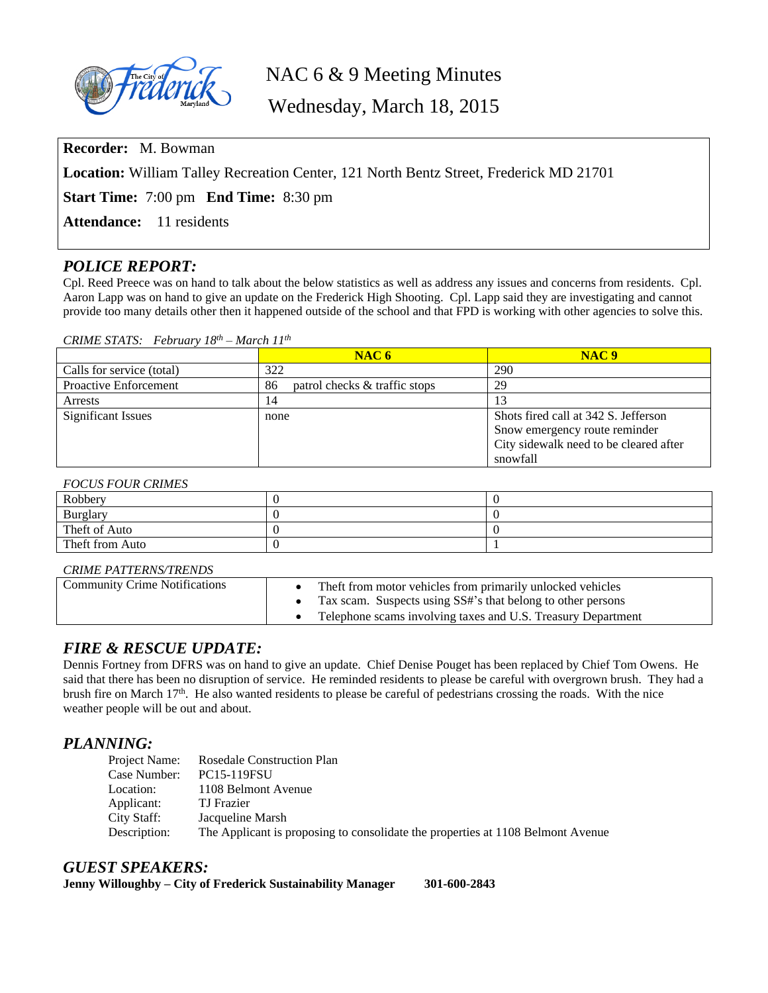

# NAC 6 & 9 Meeting Minutes

Wednesday, March 18, 2015

**Recorder:** M. Bowman

**Location:** William Talley Recreation Center, 121 North Bentz Street, Frederick MD 21701

**Start Time:** 7:00 pm **End Time:** 8:30 pm

Attendance: 11 residents

# *POLICE REPORT:*

Cpl. Reed Preece was on hand to talk about the below statistics as well as address any issues and concerns from residents. Cpl. Aaron Lapp was on hand to give an update on the Frederick High Shooting. Cpl. Lapp said they are investigating and cannot provide too many details other then it happened outside of the school and that FPD is working with other agencies to solve this.

#### *CRIME STATS: February 18th – March 11th*

|                              | NAC <sub>6</sub>                    | NAC9                                   |
|------------------------------|-------------------------------------|----------------------------------------|
| Calls for service (total)    | 322                                 | 290                                    |
| <b>Proactive Enforcement</b> | patrol checks & traffic stops<br>86 | 29                                     |
| Arrests                      | 14                                  |                                        |
| <b>Significant Issues</b>    | none                                | Shots fired call at 342 S. Jefferson   |
|                              |                                     | Snow emergency route reminder          |
|                              |                                     | City sidewalk need to be cleared after |
|                              |                                     | snowfall                               |

#### *FOCUS FOUR CRIMES*

| Robbery         |  |
|-----------------|--|
| Burglary        |  |
| Theft of Auto   |  |
| Theft from Auto |  |

#### *CRIME PATTERNS/TRENDS*

| <b>Community Crime Notifications</b> | The ft from motor vehicles from primarily unlocked vehicles<br>Tax scam. Suspects using SS#'s that belong to other persons |
|--------------------------------------|----------------------------------------------------------------------------------------------------------------------------|
|                                      | Telephone scams involving taxes and U.S. Treasury Department                                                               |

# *FIRE & RESCUE UPDATE:*

Dennis Fortney from DFRS was on hand to give an update. Chief Denise Pouget has been replaced by Chief Tom Owens. He said that there has been no disruption of service. He reminded residents to please be careful with overgrown brush. They had a brush fire on March 17th. He also wanted residents to please be careful of pedestrians crossing the roads. With the nice weather people will be out and about.

# *PLANNING:*

| Project Name: | <b>Rosedale Construction Plan</b>                                               |
|---------------|---------------------------------------------------------------------------------|
| Case Number:  | <b>PC15-119FSU</b>                                                              |
| Location:     | 1108 Belmont Avenue                                                             |
| Applicant:    | TJ Frazier                                                                      |
| City Staff:   | Jacqueline Marsh                                                                |
| Description:  | The Applicant is proposing to consolidate the properties at 1108 Belmont Avenue |

#### *GUEST SPEAKERS:*

**Jenny Willoughby – City of Frederick Sustainability Manager 301-600-2843**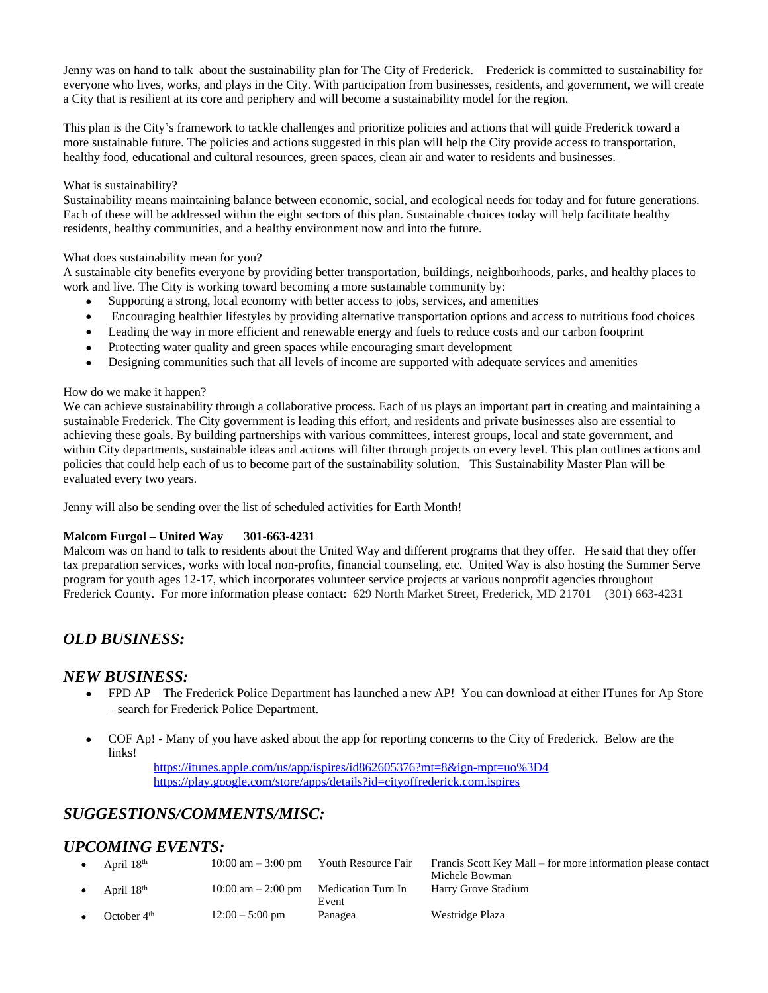Jenny was on hand to talk about the sustainability plan for The City of Frederick. Frederick is committed to sustainability for everyone who lives, works, and plays in the City. With participation from businesses, residents, and government, we will create a City that is resilient at its core and periphery and will become a sustainability model for the region.

This plan is the City's framework to tackle challenges and prioritize policies and actions that will guide Frederick toward a more sustainable future. The policies and actions suggested in this plan will help the City provide access to transportation, healthy food, educational and cultural resources, green spaces, clean air and water to residents and businesses.

#### What is sustainability?

Sustainability means maintaining balance between economic, social, and ecological needs for today and for future generations. Each of these will be addressed within the eight sectors of this plan. Sustainable choices today will help facilitate healthy residents, healthy communities, and a healthy environment now and into the future.

#### What does sustainability mean for you?

A sustainable city benefits everyone by providing better transportation, buildings, neighborhoods, parks, and healthy places to work and live. The City is working toward becoming a more sustainable community by:

- Supporting a strong, local economy with better access to jobs, services, and amenities
- Encouraging healthier lifestyles by providing alternative transportation options and access to nutritious food choices
- Leading the way in more efficient and renewable energy and fuels to reduce costs and our carbon footprint
- Protecting water quality and green spaces while encouraging smart development
- Designing communities such that all levels of income are supported with adequate services and amenities

#### How do we make it happen?

We can achieve sustainability through a collaborative process. Each of us plays an important part in creating and maintaining a sustainable Frederick. The City government is leading this effort, and residents and private businesses also are essential to achieving these goals. By building partnerships with various committees, interest groups, local and state government, and within City departments, sustainable ideas and actions will filter through projects on every level. This plan outlines actions and policies that could help each of us to become part of the sustainability solution. This Sustainability Master Plan will be evaluated every two years.

Jenny will also be sending over the list of scheduled activities for Earth Month!

#### **Malcom Furgol – United Way 301-663-4231**

Malcom was on hand to talk to residents about the United Way and different programs that they offer. He said that they offer tax preparation services, works with local non-profits, financial counseling, etc. United Way is also hosting the Summer Serve program for youth ages 12-17, which incorporates volunteer service projects at various nonprofit agencies throughout Frederick County. For more information please contact: 629 North Market Street, Frederick, MD 21701 (301) 663-4231

# *OLD BUSINESS:*

# *NEW BUSINESS:*

- FPD AP The Frederick Police Department has launched a new AP! You can download at either ITunes for Ap Store – search for Frederick Police Department.
- COF Ap! Many of you have asked about the app for reporting concerns to the City of Frederick. Below are the links!

<https://itunes.apple.com/us/app/ispires/id862605376?mt=8&ign-mpt=uo%3D4> <https://play.google.com/store/apps/details?id=cityoffrederick.com.ispires>

# *SUGGESTIONS/COMMENTS/MISC:*

# *UPCOMING EVENTS:*

|           | April $18th$           | $10:00$ am $-3:00$ pm | Youth Resource Fair         | Francis Scott Key Mall – for more information please contact<br>Michele Bowman |
|-----------|------------------------|-----------------------|-----------------------------|--------------------------------------------------------------------------------|
| $\bullet$ | April 18 <sup>th</sup> | $10:00$ am $-2:00$ pm | Medication Turn In<br>Event | Harry Grove Stadium                                                            |
|           | October $4th$          | $12:00 - 5:00$ pm     | Panagea                     | Westridge Plaza                                                                |